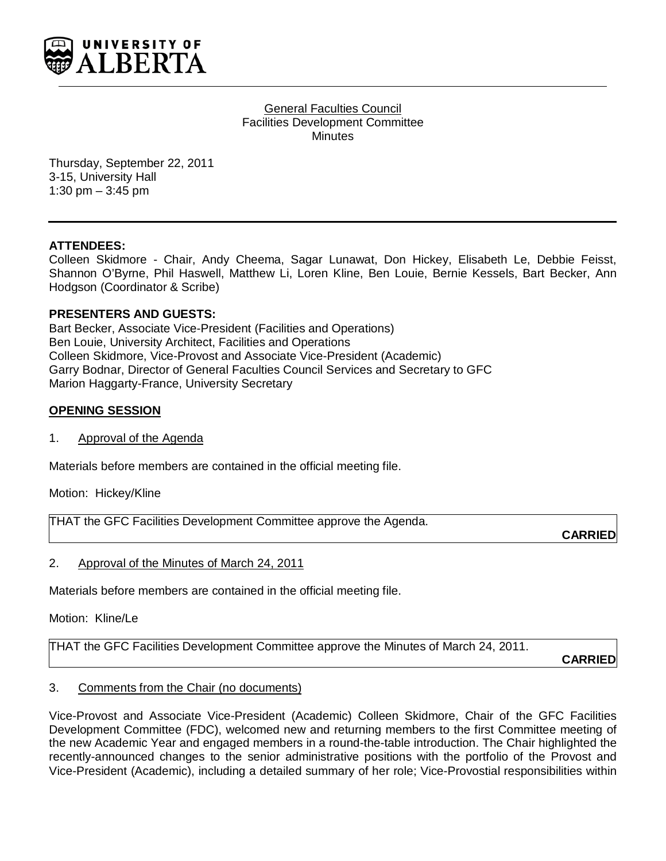

#### General Faculties Council Facilities Development Committee **Minutes**

Thursday, September 22, 2011 3-15, University Hall 1:30 pm – 3:45 pm

### **ATTENDEES:**

Colleen Skidmore - Chair, Andy Cheema, Sagar Lunawat, Don Hickey, Elisabeth Le, Debbie Feisst, Shannon O'Byrne, Phil Haswell, Matthew Li, Loren Kline, Ben Louie, Bernie Kessels, Bart Becker, Ann Hodgson (Coordinator & Scribe)

### **PRESENTERS AND GUESTS:**

Bart Becker, Associate Vice-President (Facilities and Operations) Ben Louie, University Architect, Facilities and Operations Colleen Skidmore, Vice-Provost and Associate Vice-President (Academic) Garry Bodnar, Director of General Faculties Council Services and Secretary to GFC Marion Haggarty-France, University Secretary

### **OPENING SESSION**

1. Approval of the Agenda

Materials before members are contained in the official meeting file.

Motion: Hickey/Kline

THAT the GFC Facilities Development Committee approve the Agenda.

**CARRIED**

### 2. Approval of the Minutes of March 24, 2011

Materials before members are contained in the official meeting file.

Motion: Kline/Le

THAT the GFC Facilities Development Committee approve the Minutes of March 24, 2011.

**CARRIED**

### 3. Comments from the Chair (no documents)

Vice-Provost and Associate Vice-President (Academic) Colleen Skidmore, Chair of the GFC Facilities Development Committee (FDC), welcomed new and returning members to the first Committee meeting of the new Academic Year and engaged members in a round-the-table introduction. The Chair highlighted the recently-announced changes to the senior administrative positions with the portfolio of the Provost and Vice-President (Academic), including a detailed summary of her role; Vice-Provostial responsibilities within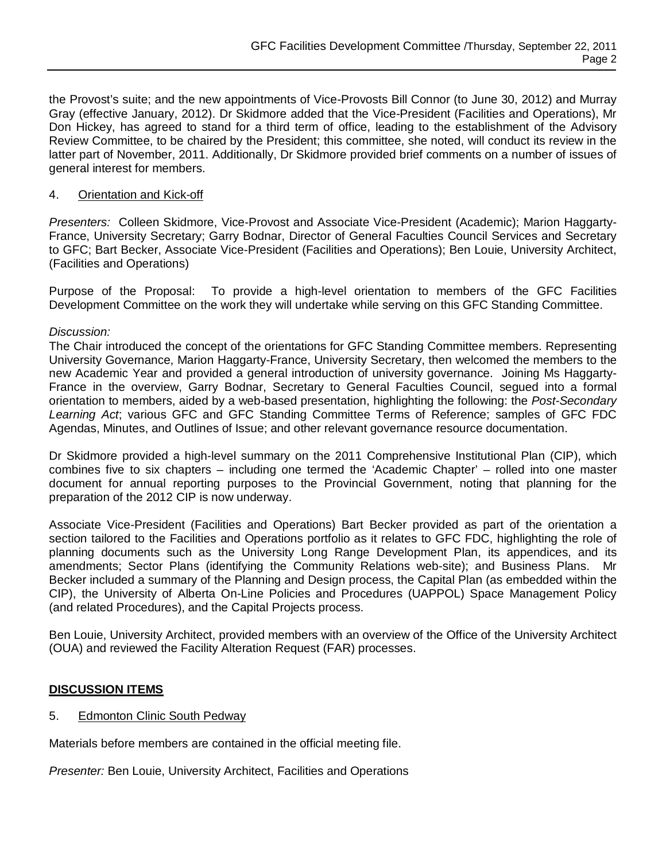the Provost's suite; and the new appointments of Vice-Provosts Bill Connor (to June 30, 2012) and Murray Gray (effective January, 2012). Dr Skidmore added that the Vice-President (Facilities and Operations), Mr Don Hickey, has agreed to stand for a third term of office, leading to the establishment of the Advisory Review Committee, to be chaired by the President; this committee, she noted, will conduct its review in the latter part of November, 2011. Additionally, Dr Skidmore provided brief comments on a number of issues of general interest for members.

### 4. Orientation and Kick-off

*Presenters:* Colleen Skidmore, Vice-Provost and Associate Vice-President (Academic); Marion Haggarty-France, University Secretary; Garry Bodnar, Director of General Faculties Council Services and Secretary to GFC; Bart Becker, Associate Vice-President (Facilities and Operations); Ben Louie, University Architect, (Facilities and Operations)

Purpose of the Proposal: To provide a high-level orientation to members of the GFC Facilities Development Committee on the work they will undertake while serving on this GFC Standing Committee.

### *Discussion:*

The Chair introduced the concept of the orientations for GFC Standing Committee members. Representing University Governance, Marion Haggarty-France, University Secretary, then welcomed the members to the new Academic Year and provided a general introduction of university governance. Joining Ms Haggarty-France in the overview, Garry Bodnar, Secretary to General Faculties Council, segued into a formal orientation to members, aided by a web-based presentation, highlighting the following: the *Post-Secondary Learning Act*; various GFC and GFC Standing Committee Terms of Reference; samples of GFC FDC Agendas, Minutes, and Outlines of Issue; and other relevant governance resource documentation.

Dr Skidmore provided a high-level summary on the 2011 Comprehensive Institutional Plan (CIP), which combines five to six chapters – including one termed the 'Academic Chapter' – rolled into one master document for annual reporting purposes to the Provincial Government, noting that planning for the preparation of the 2012 CIP is now underway.

Associate Vice-President (Facilities and Operations) Bart Becker provided as part of the orientation a section tailored to the Facilities and Operations portfolio as it relates to GFC FDC, highlighting the role of planning documents such as the University Long Range Development Plan, its appendices, and its amendments; Sector Plans (identifying the Community Relations web-site); and Business Plans. Mr Becker included a summary of the Planning and Design process, the Capital Plan (as embedded within the CIP), the University of Alberta On-Line Policies and Procedures (UAPPOL) Space Management Policy (and related Procedures), and the Capital Projects process.

Ben Louie, University Architect, provided members with an overview of the Office of the University Architect (OUA) and reviewed the Facility Alteration Request (FAR) processes.

# **DISCUSSION ITEMS**

# 5. Edmonton Clinic South Pedway

Materials before members are contained in the official meeting file.

*Presenter:* Ben Louie, University Architect, Facilities and Operations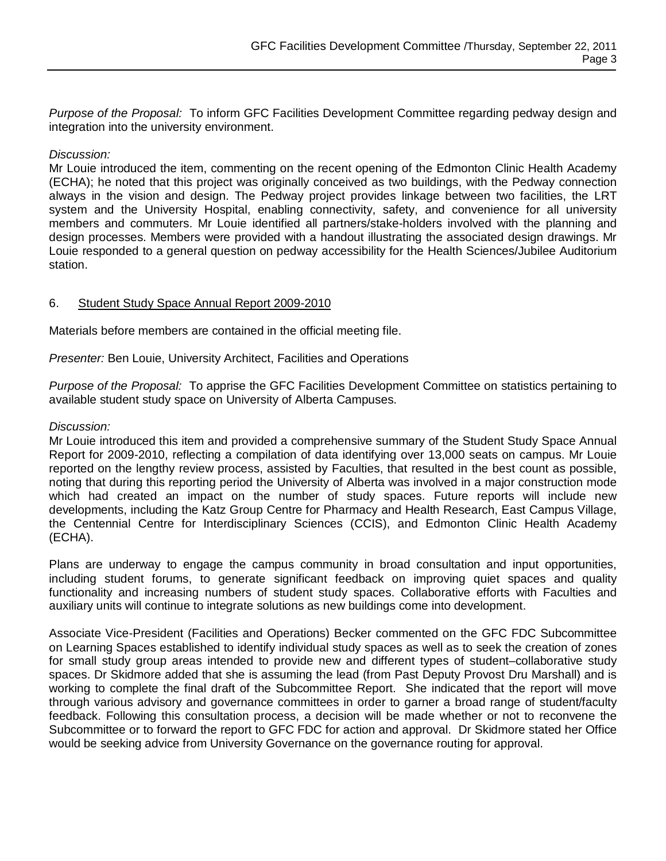*Purpose of the Proposal:* To inform GFC Facilities Development Committee regarding pedway design and integration into the university environment.

### *Discussion:*

Mr Louie introduced the item, commenting on the recent opening of the Edmonton Clinic Health Academy (ECHA); he noted that this project was originally conceived as two buildings, with the Pedway connection always in the vision and design. The Pedway project provides linkage between two facilities, the LRT system and the University Hospital, enabling connectivity, safety, and convenience for all university members and commuters. Mr Louie identified all partners/stake-holders involved with the planning and design processes. Members were provided with a handout illustrating the associated design drawings. Mr Louie responded to a general question on pedway accessibility for the Health Sciences/Jubilee Auditorium station.

### 6. Student Study Space Annual Report 2009-2010

Materials before members are contained in the official meeting file.

*Presenter:* Ben Louie, University Architect, Facilities and Operations

*Purpose of the Proposal:* To apprise the GFC Facilities Development Committee on statistics pertaining to available student study space on University of Alberta Campuses.

### *Discussion:*

Mr Louie introduced this item and provided a comprehensive summary of the Student Study Space Annual Report for 2009-2010, reflecting a compilation of data identifying over 13,000 seats on campus. Mr Louie reported on the lengthy review process, assisted by Faculties, that resulted in the best count as possible, noting that during this reporting period the University of Alberta was involved in a major construction mode which had created an impact on the number of study spaces. Future reports will include new developments, including the Katz Group Centre for Pharmacy and Health Research, East Campus Village, the Centennial Centre for Interdisciplinary Sciences (CCIS), and Edmonton Clinic Health Academy (ECHA).

Plans are underway to engage the campus community in broad consultation and input opportunities, including student forums, to generate significant feedback on improving quiet spaces and quality functionality and increasing numbers of student study spaces. Collaborative efforts with Faculties and auxiliary units will continue to integrate solutions as new buildings come into development.

Associate Vice-President (Facilities and Operations) Becker commented on the GFC FDC Subcommittee on Learning Spaces established to identify individual study spaces as well as to seek the creation of zones for small study group areas intended to provide new and different types of student–collaborative study spaces. Dr Skidmore added that she is assuming the lead (from Past Deputy Provost Dru Marshall) and is working to complete the final draft of the Subcommittee Report. She indicated that the report will move through various advisory and governance committees in order to garner a broad range of student/faculty feedback. Following this consultation process, a decision will be made whether or not to reconvene the Subcommittee or to forward the report to GFC FDC for action and approval. Dr Skidmore stated her Office would be seeking advice from University Governance on the governance routing for approval.